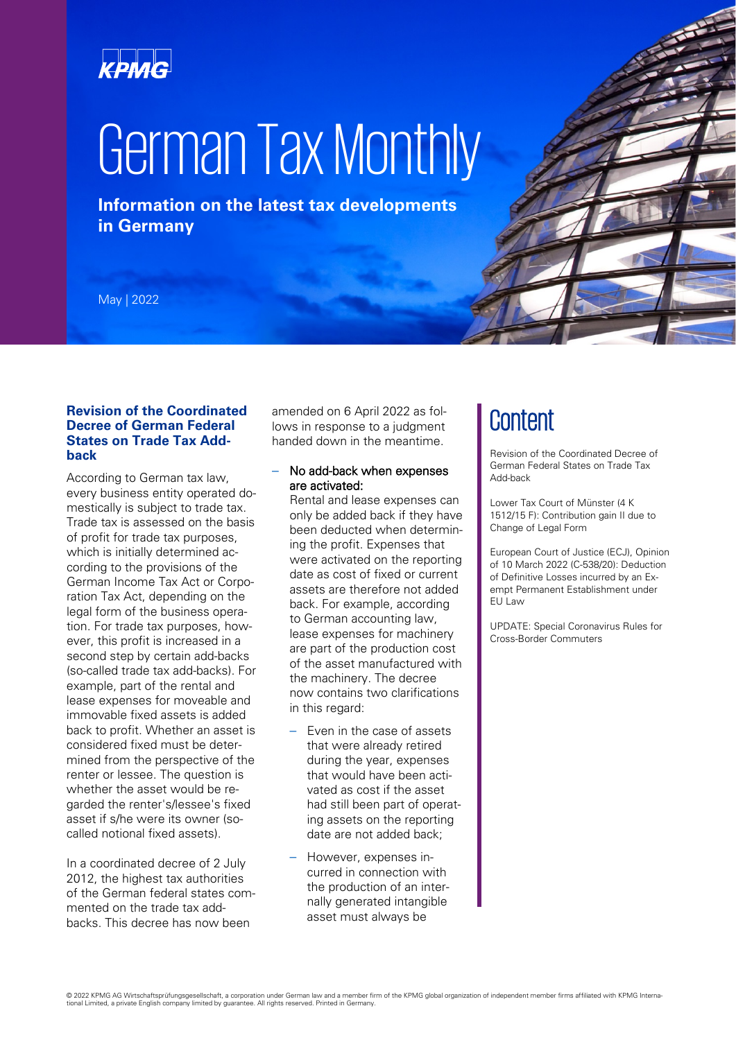## KPMG

# German Tax Monthly

**Information on the latest tax developments in Germany**

May | 2022

#### **Revision of the Coordinated Decree of German Federal States on Trade Tax Addback**

According to German tax law, every business entity operated domestically is subject to trade tax. Trade tax is assessed on the basis of profit for trade tax purposes, which is initially determined according to the provisions of the German Income Tax Act or Corporation Tax Act, depending on the legal form of the business operation. For trade tax purposes, however, this profit is increased in a second step by certain add-backs (so-called trade tax add-backs). For example, part of the rental and lease expenses for moveable and immovable fixed assets is added back to profit. Whether an asset is considered fixed must be determined from the perspective of the renter or lessee. The question is whether the asset would be regarded the renter's/lessee's fixed asset if s/he were its owner (socalled notional fixed assets).

In a coordinated decree of 2 July 2012, the highest tax authorities of the German federal states commented on the trade tax addbacks. This decree has now been

amended on 6 April 2022 as follows in response to a judgment handed down in the meantime.

#### – No add-back when expenses are activated:

Rental and lease expenses can only be added back if they have been deducted when determining the profit. Expenses that were activated on the reporting date as cost of fixed or current assets are therefore not added back. For example, according to German accounting law, lease expenses for machinery are part of the production cost of the asset manufactured with the machinery. The decree now contains two clarifications in this regard:

- Even in the case of assets that were already retired during the year, expenses that would have been activated as cost if the asset had still been part of operating assets on the reporting date are not added back;
- However, expenses incurred in connection with the production of an internally generated intangible asset must always be

### **Content**

Revision of the Coordinated Decree of German Federal States on Trade Tax Add-back

Lower Tax Court of Münster (4 K 1512/15 F): Contribution gain II due to Change of Legal Form

European Court of Justice (ECJ), Opinion of 10 March 2022 (C-538/20): Deduction of Definitive Losses incurred by an Exempt Permanent Establishment under **FU** Law

UPDATE: Special Coronavirus Rules for Cross-Border Commuters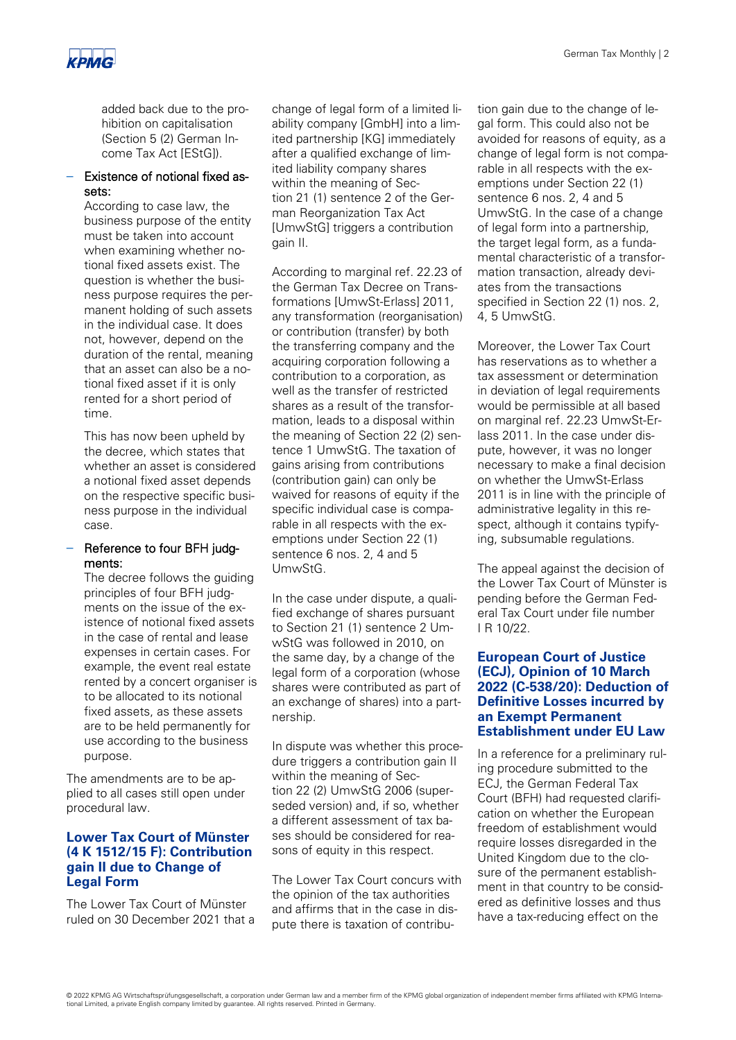added back due to the prohibition on capitalisation (Section 5 (2) German Income Tax Act [EStG]).

#### – Existence of notional fixed assets:

According to case law, the business purpose of the entity must be taken into account when examining whether notional fixed assets exist. The question is whether the business purpose requires the permanent holding of such assets in the individual case. It does not, however, depend on the duration of the rental, meaning that an asset can also be a notional fixed asset if it is only rented for a short period of time.

This has now been upheld by the decree, which states that whether an asset is considered a notional fixed asset depends on the respective specific business purpose in the individual case.

#### – Reference to four BFH judgments:

The decree follows the guiding principles of four BFH judgments on the issue of the existence of notional fixed assets in the case of rental and lease expenses in certain cases. For example, the event real estate rented by a concert organiser is to be allocated to its notional fixed assets, as these assets are to be held permanently for use according to the business purpose.

The amendments are to be applied to all cases still open under procedural law.

#### **Lower Tax Court of Münster (4 K 1512/15 F): Contribution gain II due to Change of Legal Form**

The Lower Tax Court of Münster ruled on 30 December 2021 that a change of legal form of a limited liability company [GmbH] into a limited partnership [KG] immediately after a qualified exchange of limited liability company shares within the meaning of Section 21 (1) sentence 2 of the German Reorganization Tax Act [UmwStG] triggers a contribution gain II.

According to marginal ref. 22.23 of the German Tax Decree on Transformations [UmwSt-Erlass] 2011, any transformation (reorganisation) or contribution (transfer) by both the transferring company and the acquiring corporation following a contribution to a corporation, as well as the transfer of restricted shares as a result of the transformation, leads to a disposal within the meaning of Section 22 (2) sentence 1 UmwStG. The taxation of gains arising from contributions (contribution gain) can only be waived for reasons of equity if the specific individual case is comparable in all respects with the exemptions under Section 22 (1) sentence 6 nos. 2, 4 and 5 UmwStG.

In the case under dispute, a qualified exchange of shares pursuant to Section 21 (1) sentence 2 UmwStG was followed in 2010, on the same day, by a change of the legal form of a corporation (whose shares were contributed as part of an exchange of shares) into a partnership.

In dispute was whether this procedure triggers a contribution gain II within the meaning of Section 22 (2) UmwStG 2006 (superseded version) and, if so, whether a different assessment of tax bases should be considered for reasons of equity in this respect.

The Lower Tax Court concurs with the opinion of the tax authorities and affirms that in the case in dispute there is taxation of contribution gain due to the change of legal form. This could also not be avoided for reasons of equity, as a change of legal form is not comparable in all respects with the exemptions under Section 22 (1) sentence 6 nos. 2, 4 and 5 UmwStG. In the case of a change of legal form into a partnership, the target legal form, as a fundamental characteristic of a transformation transaction, already deviates from the transactions specified in Section 22 (1) nos. 2, 4, 5 UmwStG.

Moreover, the Lower Tax Court has reservations as to whether a tax assessment or determination in deviation of legal requirements would be permissible at all based on marginal ref. 22.23 UmwSt-Erlass 2011. In the case under dispute, however, it was no longer necessary to make a final decision on whether the UmwSt-Erlass 2011 is in line with the principle of administrative legality in this respect, although it contains typifying, subsumable regulations.

The appeal against the decision of the Lower Tax Court of Münster is pending before the German Federal Tax Court under file number I R 10/22.

#### **European Court of Justice (ECJ), Opinion of 10 March 2022 (C-538/20): Deduction of Definitive Losses incurred by an Exempt Permanent Establishment under EU Law**

In a reference for a preliminary ruling procedure submitted to the ECJ, the German Federal Tax Court (BFH) had requested clarification on whether the European freedom of establishment would require losses disregarded in the United Kingdom due to the closure of the permanent establishment in that country to be considered as definitive losses and thus have a tax-reducing effect on the

<sup>© 2022</sup> KPMG AG Wirtschaftsprüfungsgesellschaft, a corporation under German law and a member firm of the KPMG global organization of independent member firms affiliated with KPMG International Limited, a private English company limited by guarantee. All rights reserved. Printed in Germany.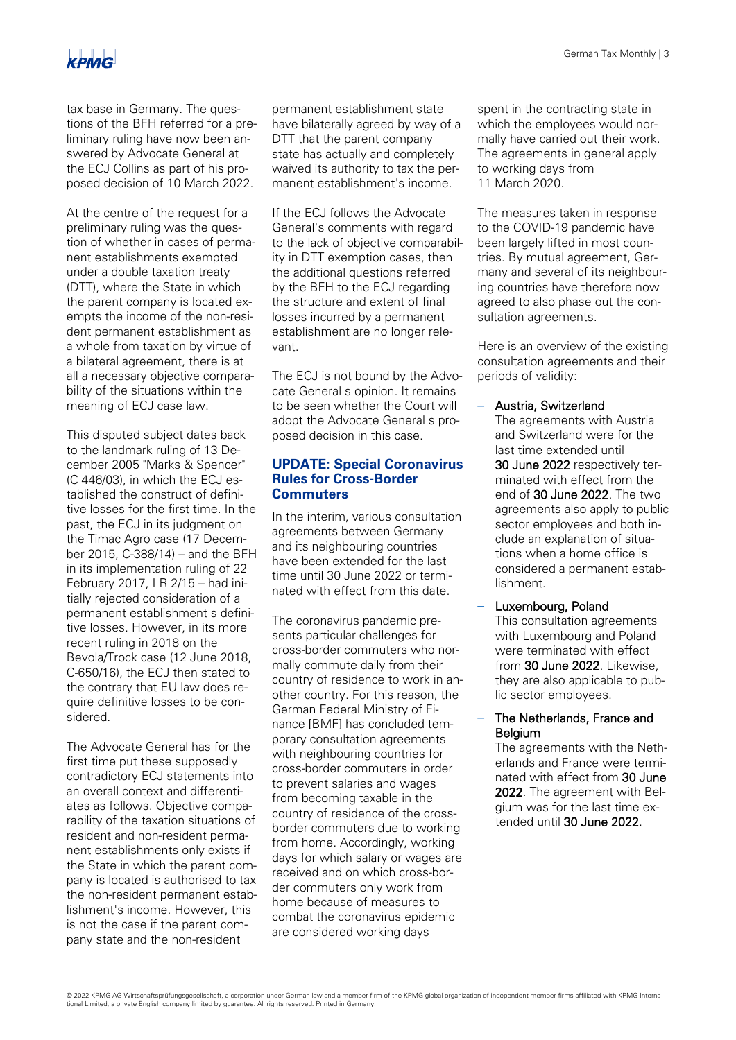

tax base in Germany. The questions of the BFH referred for a preliminary ruling have now been answered by Advocate General at the ECJ Collins as part of his proposed decision of 10 March 2022.

At the centre of the request for a preliminary ruling was the question of whether in cases of permanent establishments exempted under a double taxation treaty (DTT), where the State in which the parent company is located exempts the income of the non-resident permanent establishment as a whole from taxation by virtue of a bilateral agreement, there is at all a necessary objective comparability of the situations within the meaning of ECJ case law.

This disputed subject dates back to the landmark ruling of 13 December 2005 "Marks & Spencer" (C 446/03), in which the ECJ established the construct of definitive losses for the first time. In the past, the ECJ in its judgment on the Timac Agro case (17 December 2015, C-388/14) – and the BFH in its implementation ruling of 22 February 2017, I R 2/15 – had initially rejected consideration of a permanent establishment's definitive losses. However, in its more recent ruling in 2018 on the Bevola/Trock case (12 June 2018, C-650/16), the ECJ then stated to the contrary that EU law does require definitive losses to be considered.

The Advocate General has for the first time put these supposedly contradictory ECJ statements into an overall context and differentiates as follows. Objective comparability of the taxation situations of resident and non-resident permanent establishments only exists if the State in which the parent company is located is authorised to tax the non-resident permanent establishment's income. However, this is not the case if the parent company state and the non-resident

permanent establishment state have bilaterally agreed by way of a DTT that the parent company state has actually and completely waived its authority to tax the permanent establishment's income.

If the ECJ follows the Advocate General's comments with regard to the lack of objective comparability in DTT exemption cases, then the additional questions referred by the BFH to the ECJ regarding the structure and extent of final losses incurred by a permanent establishment are no longer relevant.

The ECJ is not bound by the Advocate General's opinion. It remains to be seen whether the Court will adopt the Advocate General's proposed decision in this case.

#### **UPDATE: Special Coronavirus Rules for Cross-Border Commuters**

In the interim, various consultation agreements between Germany and its neighbouring countries have been extended for the last time until 30 June 2022 or terminated with effect from this date.

The coronavirus pandemic presents particular challenges for cross-border commuters who normally commute daily from their country of residence to work in another country. For this reason, the German Federal Ministry of Finance [BMF] has concluded temporary consultation agreements with neighbouring countries for cross-border commuters in order to prevent salaries and wages from becoming taxable in the country of residence of the crossborder commuters due to working from home. Accordingly, working days for which salary or wages are received and on which cross-border commuters only work from home because of measures to combat the coronavirus epidemic are considered working days

spent in the contracting state in which the employees would normally have carried out their work. The agreements in general apply to working days from 11 March 2020.

The measures taken in response to the COVID-19 pandemic have been largely lifted in most countries. By mutual agreement, Germany and several of its neighbouring countries have therefore now agreed to also phase out the consultation agreements.

Here is an overview of the existing consultation agreements and their periods of validity:

#### – Austria, Switzerland

The agreements with Austria and Switzerland were for the last time extended until 30 June 2022 respectively terminated with effect from the end of 30 June 2022. The two agreements also apply to public sector employees and both include an explanation of situations when a home office is considered a permanent establishment.

– Luxembourg, Poland This consultation agreements with Luxembourg and Poland were terminated with effect from 30 June 2022. Likewise. they are also applicable to public sector employees.

#### – The Netherlands, France and Belgium

The agreements with the Netherlands and France were terminated with effect from 30 June 2022. The agreement with Belgium was for the last time extended until 30 June 2022.